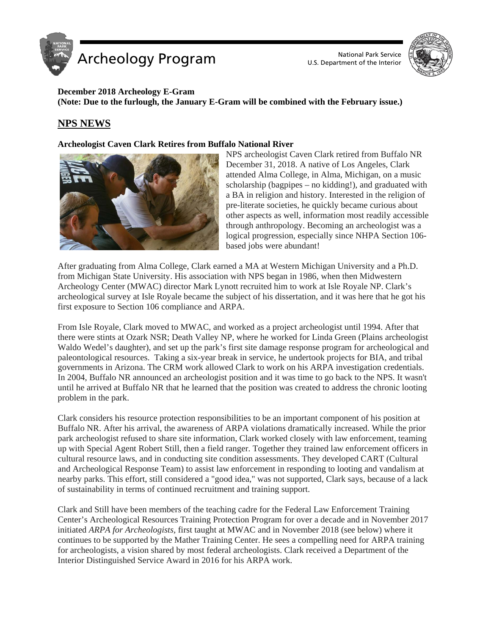



## **December 2018 Archeology E-Gram (Note: Due to the furlough, the January E-Gram will be combined with the February issue.)**

# **NPS NEWS**

### **Archeologist Caven Clark Retires from Buffalo National River**



NPS archeologist Caven Clark retired from Buffalo NR December 31, 2018. A native of Los Angeles, Clark attended Alma College, in Alma, Michigan, on a music scholarship (bagpipes – no kidding!), and graduated with a BA in religion and history. Interested in the religion of pre-literate societies, he quickly became curious about other aspects as well, information most readily accessible through anthropology. Becoming an archeologist was a logical progression, especially since NHPA Section 106 based jobs were abundant!

After graduating from Alma College, Clark earned a MA at Western Michigan University and a Ph.D. from Michigan State University. His association with NPS began in 1986, when then Midwestern Archeology Center (MWAC) director Mark Lynott recruited him to work at Isle Royale NP. Clark's archeological survey at Isle Royale became the subject of his dissertation, and it was here that he got his first exposure to Section 106 compliance and ARPA.

From Isle Royale, Clark moved to MWAC, and worked as a project archeologist until 1994. After that there were stints at Ozark NSR; Death Valley NP, where he worked for Linda Green (Plains archeologist Waldo Wedel's daughter), and set up the park's first site damage response program for archeological and paleontological resources. Taking a six-year break in service, he undertook projects for BIA, and tribal governments in Arizona. The CRM work allowed Clark to work on his ARPA investigation credentials. In 2004, Buffalo NR announced an archeologist position and it was time to go back to the NPS. It wasn't until he arrived at Buffalo NR that he learned that the position was created to address the chronic looting problem in the park.

Clark considers his resource protection responsibilities to be an important component of his position at Buffalo NR. After his arrival, the awareness of ARPA violations dramatically increased. While the prior park archeologist refused to share site information, Clark worked closely with law enforcement, teaming up with Special Agent Robert Still, then a field ranger. Together they trained law enforcement officers in cultural resource laws, and in conducting site condition assessments. They developed CART (Cultural and Archeological Response Team) to assist law enforcement in responding to looting and vandalism at nearby parks. This effort, still considered a "good idea," was not supported, Clark says, because of a lack of sustainability in terms of continued recruitment and training support.

Clark and Still have been members of the teaching cadre for the Federal Law Enforcement Training Center's Archeological Resources Training Protection Program for over a decade and in November 2017 initiated *ARPA for Archeologists,* first taught at MWAC and in November 2018 (see below) where it continues to be supported by the Mather Training Center. He sees a compelling need for ARPA training for archeologists, a vision shared by most federal archeologists. Clark received a Department of the Interior Distinguished Service Award in 2016 for his ARPA work.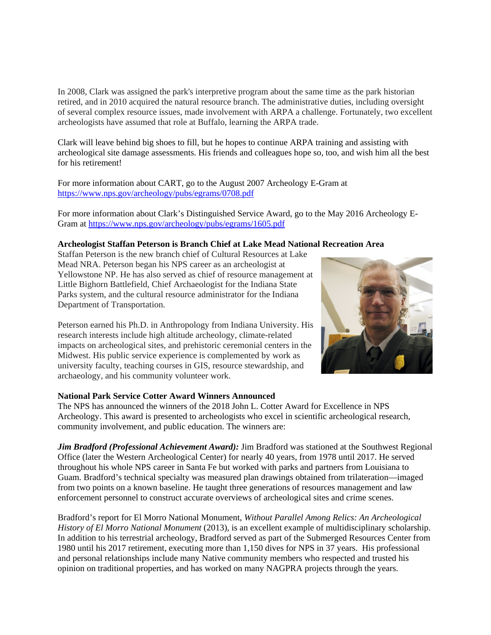In 2008, Clark was assigned the park's interpretive program about the same time as the park historian retired, and in 2010 acquired the natural resource branch. The administrative duties, including oversight of several complex resource issues, made involvement with ARPA a challenge. Fortunately, two excellent archeologists have assumed that role at Buffalo, learning the ARPA trade.

Clark will leave behind big shoes to fill, but he hopes to continue ARPA training and assisting with archeological site damage assessments. His friends and colleagues hope so, too, and wish him all the best for his retirement!

For more information about CART, go to the August 2007 Archeology E-Gram at <https://www.nps.gov/archeology/pubs/egrams/0708.pdf>

For more information about Clark's Distinguished Service Award, go to the May 2016 Archeology E-Gram at<https://www.nps.gov/archeology/pubs/egrams/1605.pdf>

### **Archeologist Staffan Peterson is Branch Chief at Lake Mead National Recreation Area**

Staffan Peterson is the new branch chief of Cultural Resources at Lake Mead NRA. Peterson began his NPS career as an archeologist at Yellowstone NP. He has also served as chief of resource management at Little Bighorn Battlefield, Chief Archaeologist for the Indiana State Parks system, and the cultural resource administrator for the Indiana Department of Transportation.

Peterson earned his Ph.D. in Anthropology from Indiana University. His research interests include high altitude archeology, climate-related impacts on archeological sites, and prehistoric ceremonial centers in the Midwest. His public service experience is complemented by work as university faculty, teaching courses in GIS, resource stewardship, and archaeology, and his community volunteer work.

### **National Park Service Cotter Award Winners Announced**

The NPS has announced the winners of the 2018 John L. Cotter Award for Excellence in NPS Archeology. This award is presented to archeologists who excel in scientific archeological research, community involvement, and public education. The winners are:

*Jim Bradford (Professional Achievement Award):* Jim Bradford was stationed at the Southwest Regional Office (later the Western Archeological Center) for nearly 40 years, from 1978 until 2017. He served throughout his whole NPS career in Santa Fe but worked with parks and partners from Louisiana to Guam. Bradford's technical specialty was measured plan drawings obtained from trilateration—imaged from two points on a known baseline. He taught three generations of resources management and law enforcement personnel to construct accurate overviews of archeological sites and crime scenes.

Bradford's report for El Morro National Monument, *Without Parallel Among Relics: An Archeological History of El Morro National Monument* (2013), is an excellent example of multidisciplinary scholarship. In addition to his terrestrial archeology, Bradford served as part of the Submerged Resources Center from 1980 until his 2017 retirement, executing more than 1,150 dives for NPS in 37 years. His professional and personal relationships include many Native community members who respected and trusted his opinion on traditional properties, and has worked on many NAGPRA projects through the years.

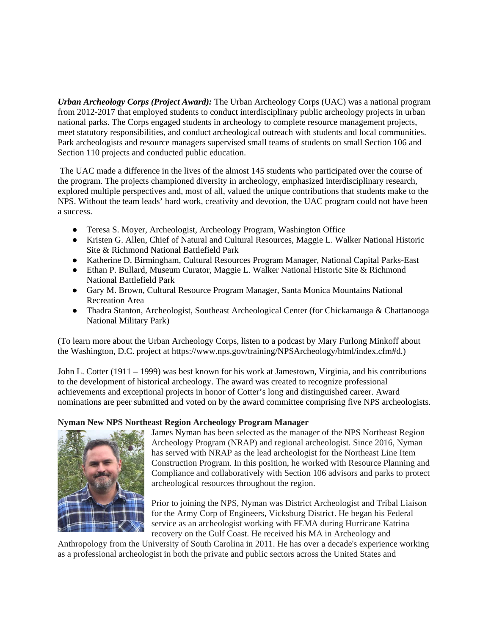*Urban Archeology Corps (Project Award):* The Urban Archeology Corps (UAC) was a national program from 2012-2017 that employed students to conduct interdisciplinary public archeology projects in urban national parks. The Corps engaged students in archeology to complete resource management projects, meet statutory responsibilities, and conduct archeological outreach with students and local communities. Park archeologists and resource managers supervised small teams of students on small Section 106 and Section 110 projects and conducted public education.

The UAC made a difference in the lives of the almost 145 students who participated over the course of the program. The projects championed diversity in archeology, emphasized interdisciplinary research, explored multiple perspectives and, most of all, valued the unique contributions that students make to the NPS. Without the team leads' hard work, creativity and devotion, the UAC program could not have been a success.

- Teresa S. Moyer, Archeologist, Archeology Program, Washington Office
- Kristen G. Allen, Chief of Natural and Cultural Resources, Maggie L. Walker National Historic Site & Richmond National Battlefield Park
- Katherine D. Birmingham, Cultural Resources Program Manager, National Capital Parks-East
- Ethan P. Bullard, Museum Curator, Maggie L. Walker National Historic Site & Richmond National Battlefield Park
- Gary M. Brown, Cultural Resource Program Manager, Santa Monica Mountains National Recreation Area
- Thadra Stanton, Archeologist, Southeast Archeological Center (for Chickamauga & Chattanooga National Military Park)

(To learn more about the Urban Archeology Corps, listen to a podcast by Mary Furlong Minkoff about the Washington, D.C. project at https://www.nps.gov/training/NPSArcheology/html/index.cfm#d.)

John L. Cotter (1911 – 1999) was best known for his work at Jamestown, Virginia, and his contributions to the development of historical archeology. The award was created to recognize professional achievements and exceptional projects in honor of Cotter's long and distinguished career. Award nominations are peer submitted and voted on by the award committee comprising five NPS archeologists.

## **Nyman New NPS Northeast Region Archeology Program Manager**



James Nyman has been selected as the manager of the NPS Northeast Region Archeology Program (NRAP) and regional archeologist. Since 2016, Nyman has served with NRAP as the lead archeologist for the Northeast Line Item Construction Program. In this position, he worked with Resource Planning and Compliance and collaboratively with Section 106 advisors and parks to protect archeological resources throughout the region.

Prior to joining the NPS, Nyman was District Archeologist and Tribal Liaison for the Army Corp of Engineers, Vicksburg District. He began his Federal service as an archeologist working with FEMA during Hurricane Katrina recovery on the Gulf Coast. He received his MA in Archeology and

Anthropology from the University of South Carolina in 2011. He has over a decade's experience working as a professional archeologist in both the private and public sectors across the United States and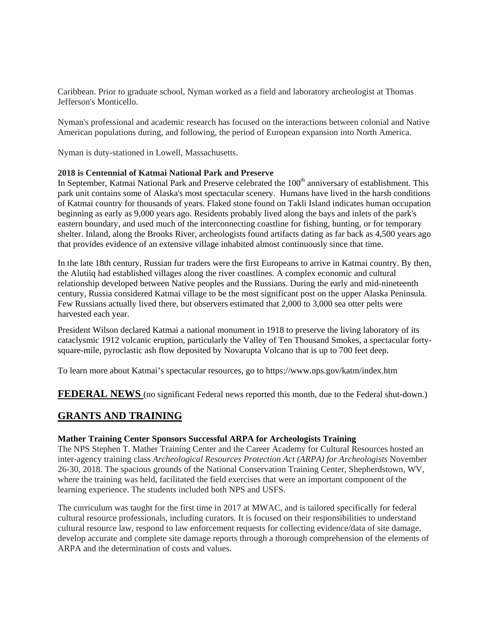Caribbean. Prior to graduate school, Nyman worked as a field and laboratory archeologist at Thomas Jefferson's Monticello.

Nyman's professional and academic research has focused on the interactions between colonial and Native American populations during, and following, the period of European expansion into North America.

Nyman is duty-stationed in Lowell, Massachusetts.

### **2018 is Centennial of Katmai National Park and Preserve**

In September, Katmai National Park and Preserve celebrated the 100<sup>th</sup> anniversary of establishment. This park unit contains some of Alaska's most spectacular scenery. Humans have lived in the harsh conditions of Katmai country for thousands of years. Flaked stone found on Takli Island indicates human occupation beginning as early as 9,000 years ago. Residents probably lived along the bays and inlets of the park's eastern boundary, and used much of the interconnecting coastline for fishing, hunting, or for temporary shelter. Inland, along the Brooks River, archeologists found artifacts dating as far back as 4,500 years ago that provides evidence of an extensive village inhabited almost continuously since that time.

In the late 18th century, Russian fur traders were the first Europeans to arrive in Katmai country. By then, the Alutiiq had established villages along the river coastlines. A complex economic and cultural relationship developed between Native peoples and the Russians. During the early and mid-nineteenth century, Russia considered Katmai village to be the most significant post on the upper Alaska Peninsula. Few Russians actually lived there, but observers estimated that 2,000 to 3,000 sea otter pelts were harvested each year.

President Wilson declared Katmai a national monument in 1918 to preserve the living laboratory of its cataclysmic 1912 volcanic eruption, particularly the Valley of Ten Thousand Smokes, a spectacular fortysquare-mile, pyroclastic ash flow deposited by Novarupta Volcano that is up to 700 feet deep.

To learn more about Katmai's spectacular resources, go to https://www.nps.gov/katm/index.htm

**FEDERAL NEWS** (no significant Federal news reported this month, due to the Federal shut-down.)

# **GRANTS AND TRAINING**

### **Mather Training Center Sponsors Successful ARPA for Archeologists Training**

The NPS Stephen T. Mather Training Center and the Career Academy for Cultural Resources hosted an inter-agency training class *Archeological Resources Protection Act (ARPA) for Archeologists* November 26-30, 2018. The spacious grounds of the National Conservation Training Center, Shepherdstown, WV, where the training was held, facilitated the field exercises that were an important component of the learning experience. The students included both NPS and USFS.

The curriculum was taught for the first time in 2017 at MWAC, and is tailored specifically for federal cultural resource professionals, including curators. It is focused on their responsibilities to understand cultural resource law, respond to law enforcement requests for collecting evidence/data of site damage, develop accurate and complete site damage reports through a thorough comprehension of the elements of ARPA and the determination of costs and values.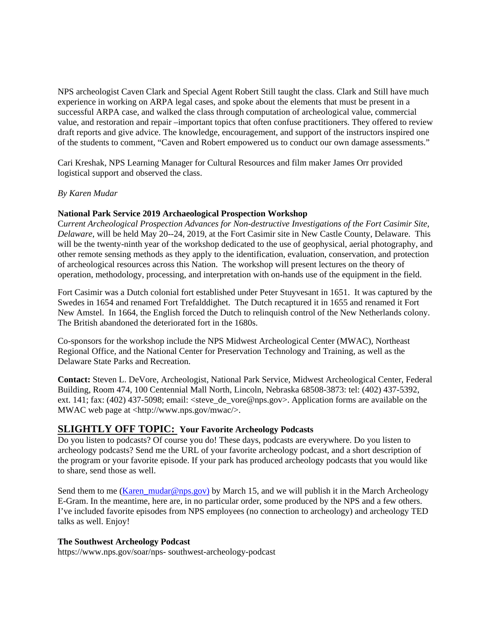NPS archeologist Caven Clark and Special Agent Robert Still taught the class. Clark and Still have much experience in working on ARPA legal cases, and spoke about the elements that must be present in a successful ARPA case, and walked the class through computation of archeological value, commercial value, and restoration and repair –important topics that often confuse practitioners. They offered to review draft reports and give advice. The knowledge, encouragement, and support of the instructors inspired one of the students to comment, "Caven and Robert empowered us to conduct our own damage assessments."

Cari Kreshak, NPS Learning Manager for Cultural Resources and film maker James Orr provided logistical support and observed the class.

## *By Karen Mudar*

## **National Park Service 2019 Archaeological Prospection Workshop**

C*urrent Archeological Prospection Advances for Non-destructive Investigations of the Fort Casimir Site, Delaware,* will be held May 20--24, 2019, at the Fort Casimir site in New Castle County, Delaware. This will be the twenty-ninth year of the workshop dedicated to the use of geophysical, aerial photography, and other remote sensing methods as they apply to the identification, evaluation, conservation, and protection of archeological resources across this Nation. The workshop will present lectures on the theory of operation, methodology, processing, and interpretation with on-hands use of the equipment in the field.

Fort Casimir was a Dutch colonial fort established under Peter Stuyvesant in 1651. It was captured by the Swedes in 1654 and renamed Fort Trefalddighet. The Dutch recaptured it in 1655 and renamed it Fort New Amstel. In 1664, the English forced the Dutch to relinquish control of the New Netherlands colony. The British abandoned the deteriorated fort in the 1680s.

Co-sponsors for the workshop include the NPS Midwest Archeological Center (MWAC), Northeast Regional Office, and the National Center for Preservation Technology and Training, as well as the Delaware State Parks and Recreation.

**Contact:** Steven L. DeVore, Archeologist, National Park Service, Midwest Archeological Center, Federal Building, Room 474, 100 Centennial Mall North, Lincoln, Nebraska 68508-3873: tel: (402) 437-5392, ext. 141; fax: (402) 437-5098; email: <steve\_de\_vore@nps.gov>. Application forms are available on the MWAC web page at <http://www.nps.gov/mwac/>.

## **SLIGHTLY OFF TOPIC: Your Favorite Archeology Podcasts**

Do you listen to podcasts? Of course you do! These days, podcasts are everywhere. Do you listen to archeology podcasts? Send me the URL of your favorite archeology podcast, and a short description of the program or your favorite episode. If your park has produced archeology podcasts that you would like to share, send those as well.

Send them to me [\(Karen\\_mudar@nps.gov\)](mailto:Karen_mudar@nps.gov) by March 15, and we will publish it in the March Archeology E-Gram. In the meantime, here are, in no particular order, some produced by the NPS and a few others. I've included favorite episodes from NPS employees (no connection to archeology) and archeology TED talks as well. Enjoy!

### **The Southwest Archeology Podcast**

https://www.nps.gov/soar/nps- southwest-archeology-podcast